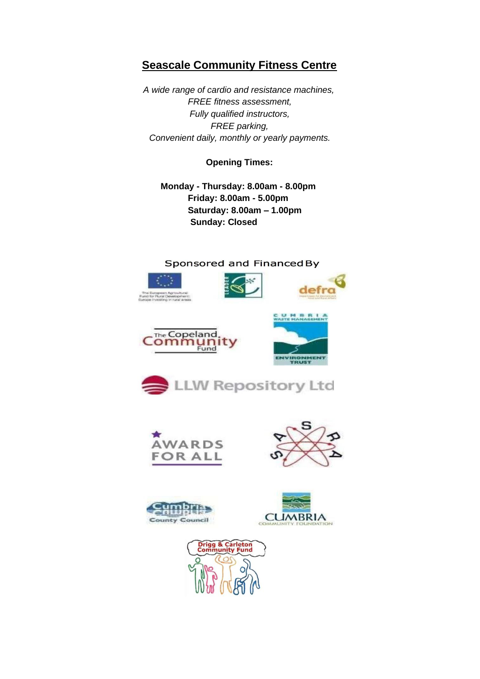# **Seascale Community Fitness Centre**

*A wide range of cardio and resistance machines, FREE fitness assessment, Fully qualified instructors, FREE parking, Convenient daily, monthly or yearly payments.* 

**Opening Times:** 

**Monday - Thursday: 8.00am - 8.00pm Friday: 8.00am - 5.00pm Saturday: 8.00am – 1.00pm Sunday: Closed** 

### Sponsored and Financed By











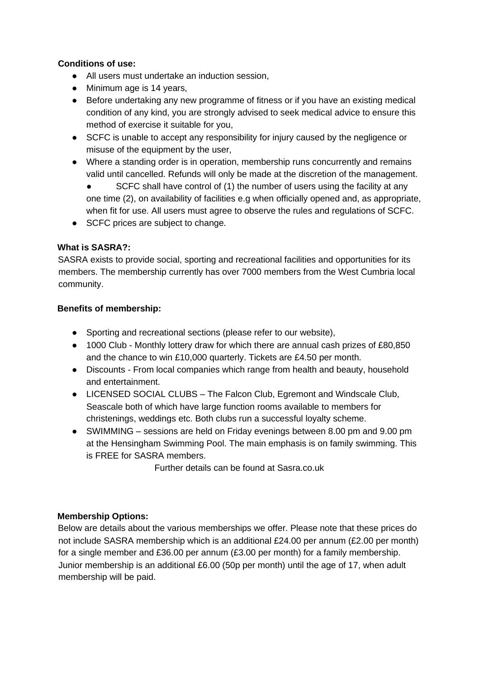# **Conditions of use:**

- All users must undertake an induction session,
- Minimum age is 14 years,
- Before undertaking any new programme of fitness or if you have an existing medical condition of any kind, you are strongly advised to seek medical advice to ensure this method of exercise it suitable for you,
- SCFC is unable to accept any responsibility for injury caused by the negligence or misuse of the equipment by the user,
- Where a standing order is in operation, membership runs concurrently and remains valid until cancelled. Refunds will only be made at the discretion of the management.
	- SCFC shall have control of (1) the number of users using the facility at any one time (2), on availability of facilities e.g when officially opened and, as appropriate, when fit for use. All users must agree to observe the rules and regulations of SCFC.
- SCFC prices are subject to change.

# **What is SASRA?:**

SASRA exists to provide social, sporting and recreational facilities and opportunities for its members. The membership currently has over 7000 members from the West Cumbria local community.

### **Benefits of membership:**

- Sporting and recreational sections (please refer to our website),
- 1000 Club Monthly lottery draw for which there are annual cash prizes of £80,850 and the chance to win £10,000 quarterly. Tickets are £4.50 per month.
- Discounts From local companies which range from health and beauty, household and entertainment.
- LICENSED SOCIAL CLUBS The Falcon Club, Egremont and Windscale Club, Seascale both of which have large function rooms available to members for christenings, weddings etc. Both clubs run a successful loyalty scheme.
- SWIMMING sessions are held on Friday evenings between 8.00 pm and 9.00 pm at the Hensingham Swimming Pool. The main emphasis is on family swimming. This is FREE for SASRA members.

Further details can be found at Sasra.co.uk

# **Membership Options:**

Below are details about the various memberships we offer. Please note that these prices do not include SASRA membership which is an additional £24.00 per annum (£2.00 per month) for a single member and £36.00 per annum (£3.00 per month) for a family membership. Junior membership is an additional £6.00 (50p per month) until the age of 17, when adult membership will be paid.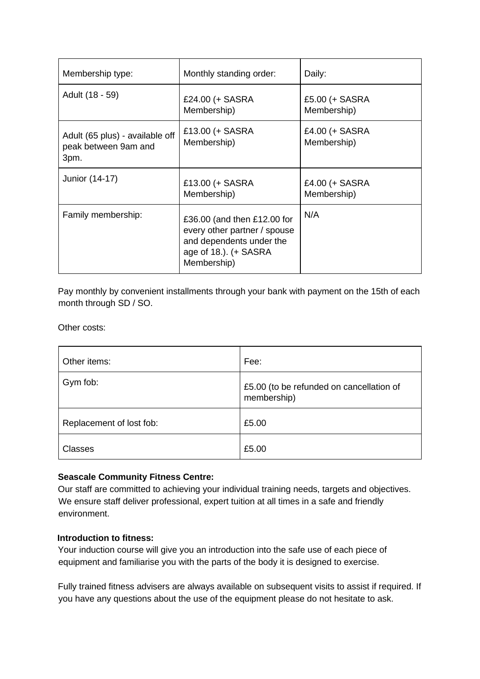| Membership type:                                                | Monthly standing order:                                                                                                         | Daily:                        |
|-----------------------------------------------------------------|---------------------------------------------------------------------------------------------------------------------------------|-------------------------------|
| Adult (18 - 59)                                                 | £24.00 (+ SASRA<br>Membership)                                                                                                  | £5.00 (+ SASRA<br>Membership) |
| Adult (65 plus) - available off<br>peak between 9am and<br>3pm. | £13.00 (+ SASRA<br>Membership)                                                                                                  | £4.00 (+ SASRA<br>Membership) |
| Junior (14-17)                                                  | £13.00 (+ SASRA<br>Membership)                                                                                                  | £4.00 (+ SASRA<br>Membership) |
| Family membership:                                              | £36.00 (and then £12.00 for<br>every other partner / spouse<br>and dependents under the<br>age of 18.). (+ SASRA<br>Membership) | N/A                           |

Pay monthly by convenient installments through your bank with payment on the 15th of each month through SD / SO.

Other costs:

| Other items:             | Fee:                                                    |
|--------------------------|---------------------------------------------------------|
| Gym fob:                 | £5.00 (to be refunded on cancellation of<br>membership) |
| Replacement of lost fob: | £5.00                                                   |
| <b>Classes</b>           | £5.00                                                   |

#### **Seascale Community Fitness Centre:**

Our staff are committed to achieving your individual training needs, targets and objectives. We ensure staff deliver professional, expert tuition at all times in a safe and friendly environment.

#### **Introduction to fitness:**

Your induction course will give you an introduction into the safe use of each piece of equipment and familiarise you with the parts of the body it is designed to exercise.

Fully trained fitness advisers are always available on subsequent visits to assist if required. If you have any questions about the use of the equipment please do not hesitate to ask.